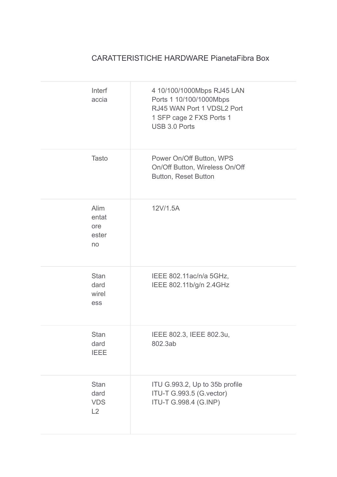## CARATTERISTICHE HARDWARE PianetaFibra Box

| Interf<br>accia                         | 4 10/100/1000Mbps RJ45 LAN<br>Ports 1 10/100/1000Mbps<br>RJ45 WAN Port 1 VDSL2 Port<br>1 SFP cage 2 FXS Ports 1<br><b>USB 3.0 Ports</b> |
|-----------------------------------------|-----------------------------------------------------------------------------------------------------------------------------------------|
| <b>Tasto</b>                            | Power On/Off Button, WPS<br>On/Off Button, Wireless On/Off<br>Button, Reset Button                                                      |
| Alim<br>entat<br>ore<br>ester<br>no     | 12V/1.5A                                                                                                                                |
| <b>Stan</b><br>dard<br>wirel<br>ess     | IEEE 802.11ac/n/a 5GHz,<br>IEEE 802.11b/g/n 2.4GHz                                                                                      |
| Stan<br>dard<br><b>IEEE</b>             | IEEE 802.3, IEEE 802.3u,<br>802.3ab                                                                                                     |
| <b>Stan</b><br>dard<br><b>VDS</b><br>L2 | ITU G.993.2, Up to 35b profile<br>ITU-T G.993.5 (G.vector)<br>ITU-T G.998.4 (G.INP)                                                     |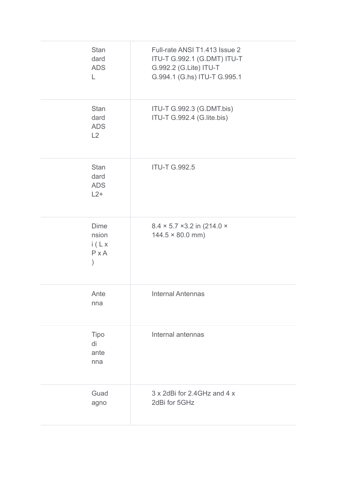| <b>Stan</b><br>dard<br><b>ADS</b><br>L     | Full-rate ANSI T1.413 Issue 2<br>ITU-T G.992.1 (G.DMT) ITU-T<br>G.992.2 (G.Lite) ITU-T<br>G.994.1 (G.hs) ITU-T G.995.1 |
|--------------------------------------------|------------------------------------------------------------------------------------------------------------------------|
| <b>Stan</b><br>dard<br><b>ADS</b><br>L2    | ITU-T G.992.3 (G.DMT.bis)<br>ITU-T G.992.4 (G.lite.bis)                                                                |
| <b>Stan</b><br>dard<br><b>ADS</b><br>$L2+$ | <b>ITU-T G.992.5</b>                                                                                                   |
| <b>Dime</b><br>nsion<br>i(Lx)<br>$P$ x A   | $8.4 \times 5.7 \times 3.2$ in (214.0 $\times$<br>$144.5 \times 80.0$ mm)                                              |
| Ante<br>nna                                | <b>Internal Antennas</b>                                                                                               |
| Tipo<br>di<br>ante<br>nna                  | Internal antennas                                                                                                      |
| Guad<br>agno                               | 3 x 2dBi for 2.4GHz and 4 x<br>2dBi for 5GHz                                                                           |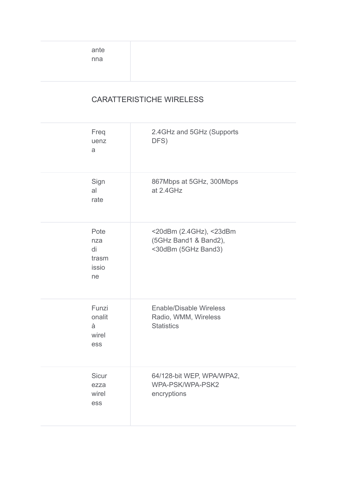ante nna

## CARATTERISTICHE WIRELESS

| Freq<br>uenz<br>a                         | 2.4GHz and 5GHz (Supports<br>DFS)                                           |
|-------------------------------------------|-----------------------------------------------------------------------------|
| Sign<br>al<br>rate                        | 867Mbps at 5GHz, 300Mbps<br>at 2.4GHz                                       |
| Pote<br>nza<br>di<br>trasm<br>issio<br>ne | <20dBm (2.4GHz), <23dBm<br>(5GHz Band1 & Band2),<br><30dBm (5GHz Band3)     |
| Funzi<br>onalit<br>à<br>wirel<br>ess      | <b>Enable/Disable Wireless</b><br>Radio, WMM, Wireless<br><b>Statistics</b> |
| Sicur<br>ezza<br>wirel<br>ess             | 64/128-bit WEP, WPA/WPA2,<br>WPA-PSK/WPA-PSK2<br>encryptions                |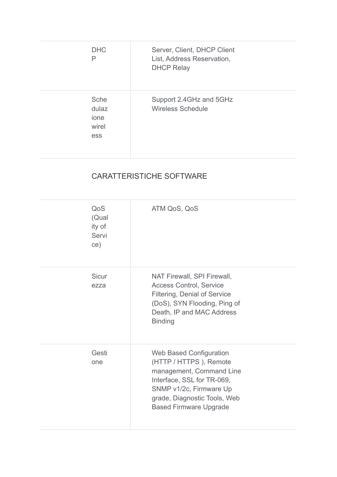| <b>DHC</b><br>P                       | Server, Client, DHCP Client<br>List, Address Reservation,<br><b>DHCP Relay</b> |
|---------------------------------------|--------------------------------------------------------------------------------|
| Sche<br>dulaz<br>ione<br>wirel<br>ess | Support 2.4GHz and 5GHz<br><b>Wireless Schedule</b>                            |

## CARATTERISTICHE SOFTWARE

| QoS<br>(Qual<br>ity of<br>Servi<br>ce) | ATM QoS, QoS                                                                                                                                                                                                   |
|----------------------------------------|----------------------------------------------------------------------------------------------------------------------------------------------------------------------------------------------------------------|
| <b>Sicur</b><br>ezza                   | NAT Firewall, SPI Firewall,<br><b>Access Control, Service</b><br><b>Filtering, Denial of Service</b><br>(DoS), SYN Flooding, Ping of<br>Death, IP and MAC Address<br><b>Binding</b>                            |
| Gesti<br>one                           | <b>Web Based Configuration</b><br>(HTTP / HTTPS), Remote<br>management, Command Line<br>Interface, SSL for TR-069,<br>SNMP v1/2c, Firmware Up<br>grade, Diagnostic Tools, Web<br><b>Based Firmware Upgrade</b> |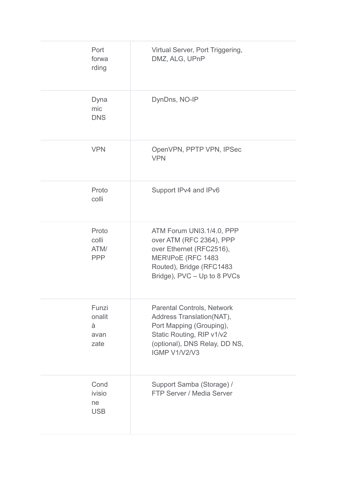| Port<br>forwa<br>rding               | Virtual Server, Port Triggering,<br>DMZ, ALG, UPnP                                                                                                                        |
|--------------------------------------|---------------------------------------------------------------------------------------------------------------------------------------------------------------------------|
| Dyna<br>mic<br><b>DNS</b>            | DynDns, NO-IP                                                                                                                                                             |
| <b>VPN</b>                           | OpenVPN, PPTP VPN, IPSec<br><b>VPN</b>                                                                                                                                    |
| Proto<br>colli                       | Support IPv4 and IPv6                                                                                                                                                     |
| Proto<br>colli<br>ATM/<br><b>PPP</b> | ATM Forum UNI3.1/4.0, PPP<br>over ATM (RFC 2364), PPP<br>over Ethernet (RFC2516),<br>MER\IPoE (RFC 1483<br>Routed), Bridge (RFC1483<br>Bridge), PVC - Up to 8 PVCs        |
| Funzi<br>onalit<br>à<br>avan<br>zate | <b>Parental Controls, Network</b><br>Address Translation(NAT),<br>Port Mapping (Grouping),<br>Static Routing, RIP v1/v2<br>(optional), DNS Relay, DD NS,<br>IGMP V1/V2/V3 |
| Cond<br>ivisio<br>ne<br><b>USB</b>   | Support Samba (Storage) /<br>FTP Server / Media Server                                                                                                                    |